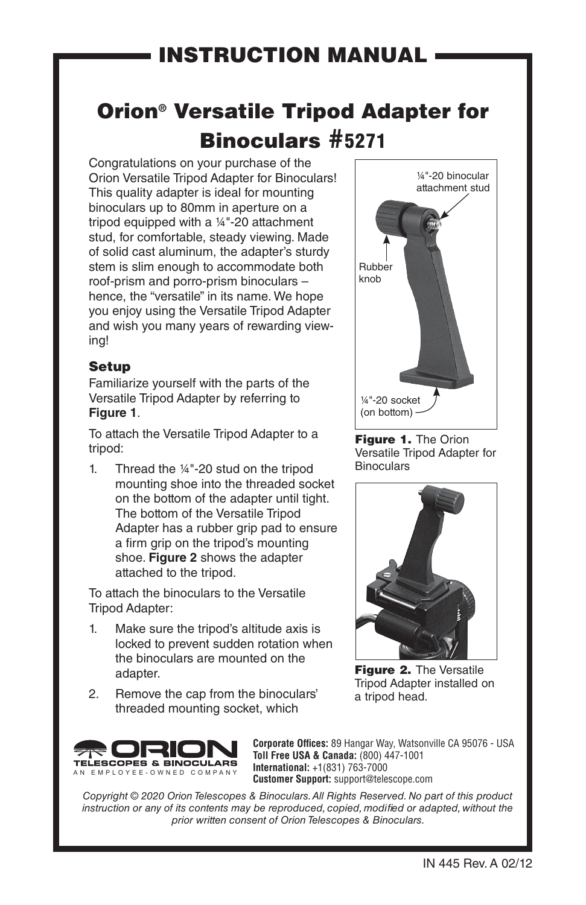## Orion® Versatile Tripod Adapter for Binoculars #5271

Congratulations on your purchase of the Orion Versatile Tripod Adapter for Binoculars! This quality adapter is ideal for mounting binoculars up to 80mm in aperture on a tripod equipped with a ¼"-20 attachment stud, for comfortable, steady viewing. Made of solid cast aluminum, the adapter's sturdy stem is slim enough to accommodate both roof-prism and porro-prism binoculars – hence, the "versatile" in its name. We hope you enjoy using the Versatile Tripod Adapter and wish you many years of rewarding viewing!

## Setup

Familiarize yourself with the parts of the Versatile Tripod Adapter by referring to **Figure 1**.

To attach the Versatile Tripod Adapter to a tripod:

1. Thread the ¼"-20 stud on the tripod mounting shoe into the threaded socket on the bottom of the adapter until tight. The bottom of the Versatile Tripod Adapter has a rubber grip pad to ensure a firm grip on the tripod's mounting shoe. **Figure 2** shows the adapter attached to the tripod.

To attach the binoculars to the Versatile Tripod Adapter:

- 1. Make sure the tripod's altitude axis is locked to prevent sudden rotation when the binoculars are mounted on the adapter.
- 2. Remove the cap from the binoculars' threaded mounting socket, which



**Corporate Offices:** 89 Hangar Way, Watsonville CA 95076 - USA **Toll Free USA & Canada:** (800) 447-1001 **International:** +1(831) 763-7000 **Customer Support:** support@telescope.com

*Copyright © 2020 Orion Telescopes & Binoculars. All Rights Reserved. No part of this product instruction or any of its contents may be reproduced, copied, modified or adapted, without the prior written consent of Orion Telescopes & Binoculars.*



Figure 1. The Orion Versatile Tripod Adapter for **Binoculars** 



Figure 2. The Versatile Tripod Adapter installed on a tripod head.